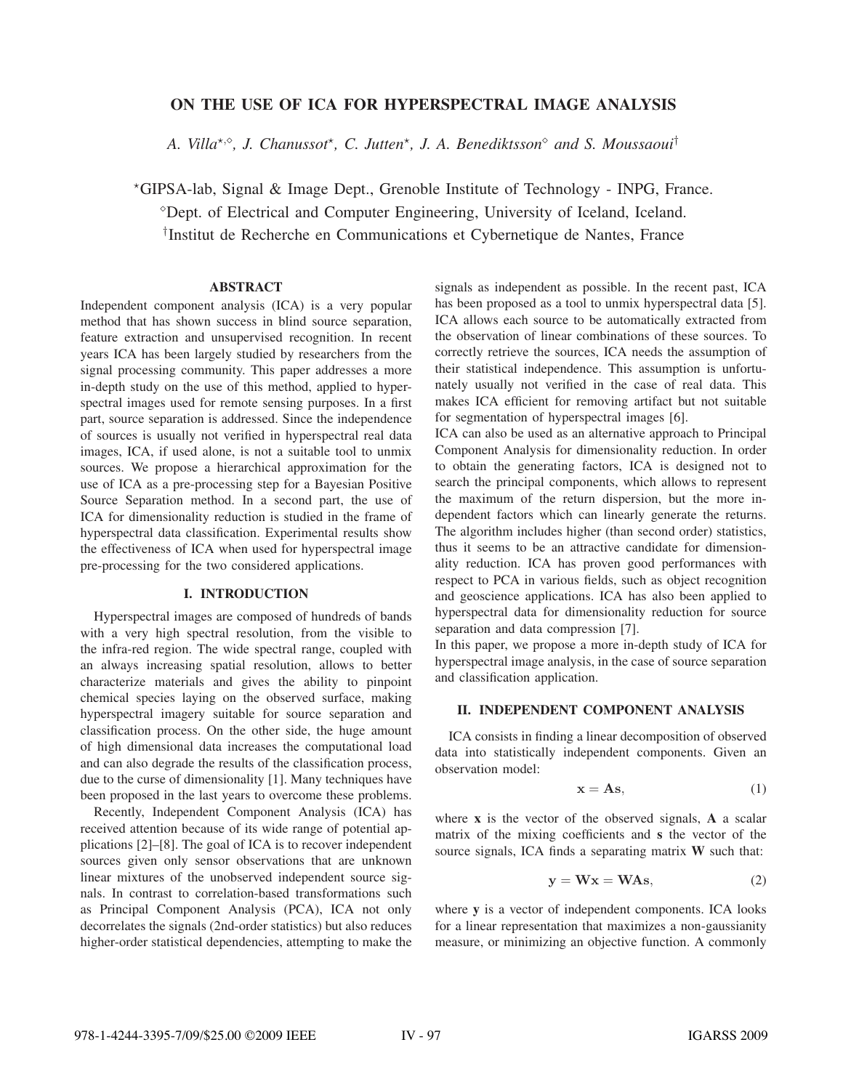## ON THE USE OF ICA FOR HYPERSPECTRAL IMAGE ANALYSIS

A. Villa<sup>\*, $\diamond$ </sup>, J. Chanussot<sup>\*</sup>, C. Jutten<sup>\*</sup>, J. A. Benediktsson<sup> $\diamond$ </sup> and S. Moussaoui<sup>†</sup>

-GIPSA-lab, Signal & Image Dept., Grenoble Institute of Technology - INPG, France. -Dept. of Electrical and Computer Engineering, University of Iceland, Iceland.

† Institut de Recherche en Communications et Cybernetique de Nantes, France

### ABSTRACT

Independent component analysis (ICA) is a very popular method that has shown success in blind source separation, feature extraction and unsupervised recognition. In recent years ICA has been largely studied by researchers from the signal processing community. This paper addresses a more in-depth study on the use of this method, applied to hyperspectral images used for remote sensing purposes. In a first part, source separation is addressed. Since the independence of sources is usually not verified in hyperspectral real data images, ICA, if used alone, is not a suitable tool to unmix sources. We propose a hierarchical approximation for the use of ICA as a pre-processing step for a Bayesian Positive Source Separation method. In a second part, the use of ICA for dimensionality reduction is studied in the frame of hyperspectral data classification. Experimental results show the effectiveness of ICA when used for hyperspectral image pre-processing for the two considered applications.

### I. INTRODUCTION

Hyperspectral images are composed of hundreds of bands with a very high spectral resolution, from the visible to the infra-red region. The wide spectral range, coupled with an always increasing spatial resolution, allows to better characterize materials and gives the ability to pinpoint chemical species laying on the observed surface, making hyperspectral imagery suitable for source separation and classification process. On the other side, the huge amount of high dimensional data increases the computational load and can also degrade the results of the classification process, due to the curse of dimensionality [1]. Many techniques have been proposed in the last years to overcome these problems.

Recently, Independent Component Analysis (ICA) has received attention because of its wide range of potential applications [2]–[8]. The goal of ICA is to recover independent sources given only sensor observations that are unknown linear mixtures of the unobserved independent source signals. In contrast to correlation-based transformations such as Principal Component Analysis (PCA), ICA not only decorrelates the signals (2nd-order statistics) but also reduces higher-order statistical dependencies, attempting to make the

signals as independent as possible. In the recent past, ICA has been proposed as a tool to unmix hyperspectral data [5]. ICA allows each source to be automatically extracted from the observation of linear combinations of these sources. To correctly retrieve the sources, ICA needs the assumption of their statistical independence. This assumption is unfortunately usually not verified in the case of real data. This makes ICA efficient for removing artifact but not suitable for segmentation of hyperspectral images [6].

ICA can also be used as an alternative approach to Principal Component Analysis for dimensionality reduction. In order to obtain the generating factors, ICA is designed not to search the principal components, which allows to represent the maximum of the return dispersion, but the more independent factors which can linearly generate the returns. The algorithm includes higher (than second order) statistics, thus it seems to be an attractive candidate for dimensionality reduction. ICA has proven good performances with respect to PCA in various fields, such as object recognition and geoscience applications. ICA has also been applied to hyperspectral data for dimensionality reduction for source separation and data compression [7].

In this paper, we propose a more in-depth study of ICA for hyperspectral image analysis, in the case of source separation and classification application.

# II. INDEPENDENT COMPONENT ANALYSIS

ICA consists in finding a linear decomposition of observed data into statistically independent components. Given an observation model:

$$
x = As,\t(1)
$$

where  $x$  is the vector of the observed signals,  $A$  a scalar matrix of the mixing coefficients and s the vector of the source signals, ICA finds a separating matrix W such that:

$$
y = Wx = WAs,\t(2)
$$

where y is a vector of independent components. ICA looks for a linear representation that maximizes a non-gaussianity measure, or minimizing an objective function. A commonly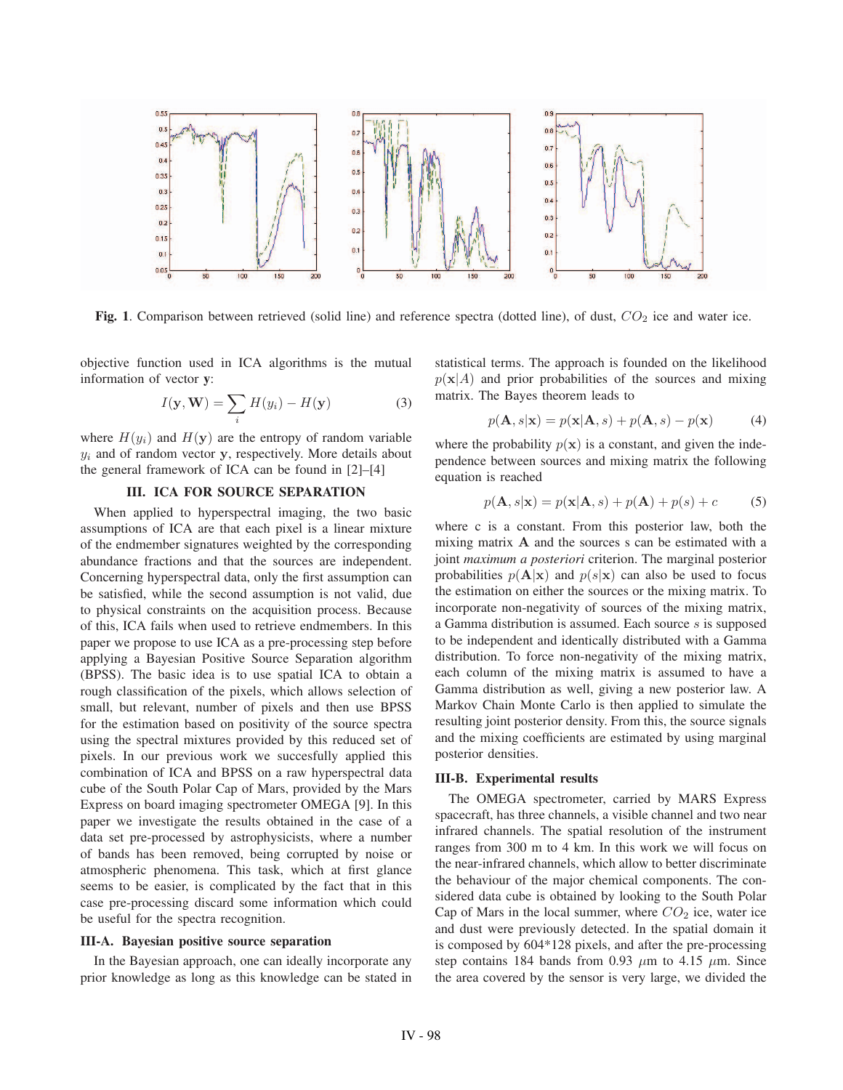

Fig. 1. Comparison between retrieved (solid line) and reference spectra (dotted line), of dust,  $CO_2$  ice and water ice.

objective function used in ICA algorithms is the mutual information of vector y:

$$
I(\mathbf{y}, \mathbf{W}) = \sum_{i} H(y_i) - H(\mathbf{y})
$$
 (3)

where  $H(y_i)$  and  $H(y)$  are the entropy of random variable  $y_i$  and of random vector  $y$ , respectively. More details about the general framework of ICA can be found in [2]–[4]

## III. ICA FOR SOURCE SEPARATION

When applied to hyperspectral imaging, the two basic assumptions of ICA are that each pixel is a linear mixture of the endmember signatures weighted by the corresponding abundance fractions and that the sources are independent. Concerning hyperspectral data, only the first assumption can be satisfied, while the second assumption is not valid, due to physical constraints on the acquisition process. Because of this, ICA fails when used to retrieve endmembers. In this paper we propose to use ICA as a pre-processing step before applying a Bayesian Positive Source Separation algorithm (BPSS). The basic idea is to use spatial ICA to obtain a rough classification of the pixels, which allows selection of small, but relevant, number of pixels and then use BPSS for the estimation based on positivity of the source spectra using the spectral mixtures provided by this reduced set of pixels. In our previous work we succesfully applied this combination of ICA and BPSS on a raw hyperspectral data cube of the South Polar Cap of Mars, provided by the Mars Express on board imaging spectrometer OMEGA [9]. In this paper we investigate the results obtained in the case of a data set pre-processed by astrophysicists, where a number of bands has been removed, being corrupted by noise or atmospheric phenomena. This task, which at first glance seems to be easier, is complicated by the fact that in this case pre-processing discard some information which could be useful for the spectra recognition.

#### III-A. Bayesian positive source separation

In the Bayesian approach, one can ideally incorporate any prior knowledge as long as this knowledge can be stated in statistical terms. The approach is founded on the likelihood  $p(x|A)$  and prior probabilities of the sources and mixing matrix. The Bayes theorem leads to

$$
p(\mathbf{A}, s|\mathbf{x}) = p(\mathbf{x}|\mathbf{A}, s) + p(\mathbf{A}, s) - p(\mathbf{x})
$$
 (4)

where the probability  $p(x)$  is a constant, and given the independence between sources and mixing matrix the following equation is reached

$$
p(\mathbf{A}, s|\mathbf{x}) = p(\mathbf{x}|\mathbf{A}, s) + p(\mathbf{A}) + p(s) + c \tag{5}
$$

where c is a constant. From this posterior law, both the mixing matrix **A** and the sources s can be estimated with a joint *maximum a posteriori* criterion. The marginal posterior probabilities  $p(\mathbf{A}|\mathbf{x})$  and  $p(s|\mathbf{x})$  can also be used to focus the estimation on either the sources or the mixing matrix. To incorporate non-negativity of sources of the mixing matrix, a Gamma distribution is assumed. Each source s is supposed to be independent and identically distributed with a Gamma distribution. To force non-negativity of the mixing matrix, each column of the mixing matrix is assumed to have a Gamma distribution as well, giving a new posterior law. A Markov Chain Monte Carlo is then applied to simulate the resulting joint posterior density. From this, the source signals and the mixing coefficients are estimated by using marginal posterior densities.

#### III-B. Experimental results

The OMEGA spectrometer, carried by MARS Express spacecraft, has three channels, a visible channel and two near infrared channels. The spatial resolution of the instrument ranges from 300 m to 4 km. In this work we will focus on the near-infrared channels, which allow to better discriminate the behaviour of the major chemical components. The considered data cube is obtained by looking to the South Polar Cap of Mars in the local summer, where  $CO<sub>2</sub>$  ice, water ice and dust were previously detected. In the spatial domain it is composed by 604\*128 pixels, and after the pre-processing step contains 184 bands from 0.93  $\mu$ m to 4.15  $\mu$ m. Since the area covered by the sensor is very large, we divided the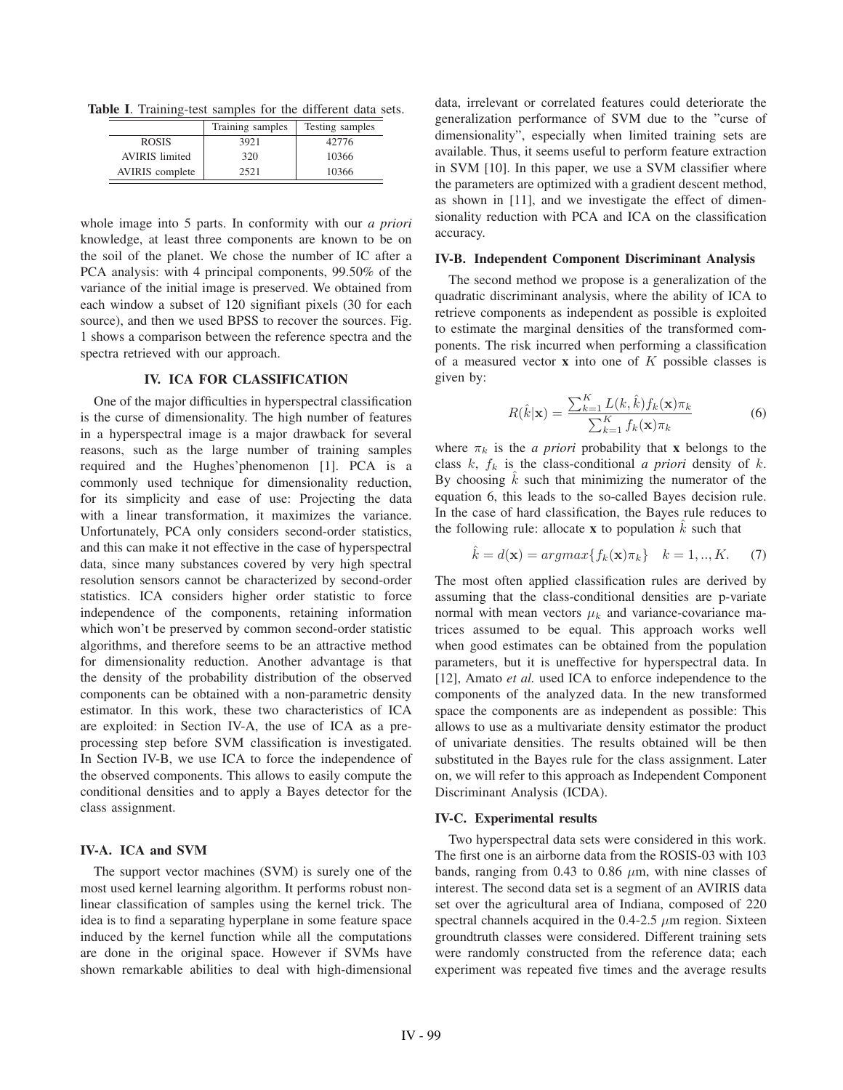Table I. Training-test samples for the different data sets.

|                       | Training samples | Testing samples |
|-----------------------|------------------|-----------------|
| <b>ROSIS</b>          | 3921             | 42776           |
| <b>AVIRIS</b> limited | 320              | 10366           |
| AVIRIS complete       | 2521             | 10366           |

whole image into 5 parts. In conformity with our *a priori* knowledge, at least three components are known to be on the soil of the planet. We chose the number of IC after a PCA analysis: with 4 principal components, 99.50% of the variance of the initial image is preserved. We obtained from each window a subset of 120 signifiant pixels (30 for each source), and then we used BPSS to recover the sources. Fig. 1 shows a comparison between the reference spectra and the spectra retrieved with our approach.

## IV. ICA FOR CLASSIFICATION

One of the major difficulties in hyperspectral classification is the curse of dimensionality. The high number of features in a hyperspectral image is a major drawback for several reasons, such as the large number of training samples required and the Hughes'phenomenon [1]. PCA is a commonly used technique for dimensionality reduction, for its simplicity and ease of use: Projecting the data with a linear transformation, it maximizes the variance. Unfortunately, PCA only considers second-order statistics, and this can make it not effective in the case of hyperspectral data, since many substances covered by very high spectral resolution sensors cannot be characterized by second-order statistics. ICA considers higher order statistic to force independence of the components, retaining information which won't be preserved by common second-order statistic algorithms, and therefore seems to be an attractive method for dimensionality reduction. Another advantage is that the density of the probability distribution of the observed components can be obtained with a non-parametric density estimator. In this work, these two characteristics of ICA are exploited: in Section IV-A, the use of ICA as a preprocessing step before SVM classification is investigated. In Section IV-B, we use ICA to force the independence of the observed components. This allows to easily compute the conditional densities and to apply a Bayes detector for the class assignment.

#### IV-A. ICA and SVM

The support vector machines (SVM) is surely one of the most used kernel learning algorithm. It performs robust nonlinear classification of samples using the kernel trick. The idea is to find a separating hyperplane in some feature space induced by the kernel function while all the computations are done in the original space. However if SVMs have shown remarkable abilities to deal with high-dimensional data, irrelevant or correlated features could deteriorate the generalization performance of SVM due to the "curse of dimensionality", especially when limited training sets are available. Thus, it seems useful to perform feature extraction in SVM [10]. In this paper, we use a SVM classifier where the parameters are optimized with a gradient descent method, as shown in [11], and we investigate the effect of dimensionality reduction with PCA and ICA on the classification accuracy.

#### IV-B. Independent Component Discriminant Analysis

The second method we propose is a generalization of the quadratic discriminant analysis, where the ability of ICA to retrieve components as independent as possible is exploited to estimate the marginal densities of the transformed components. The risk incurred when performing a classification of a measured vector  $x$  into one of  $K$  possible classes is given by:

$$
R(\hat{k}|\mathbf{x}) = \frac{\sum_{k=1}^{K} L(k, \hat{k}) f_k(\mathbf{x}) \pi_k}{\sum_{k=1}^{K} f_k(\mathbf{x}) \pi_k}
$$
(6)

where  $\pi_k$  is the *a priori* probability that **x** belongs to the class  $k$ ,  $f_k$  is the class-conditional *a priori* density of  $k$ . By choosing  $\hat{k}$  such that minimizing the numerator of the equation 6, this leads to the so-called Bayes decision rule. In the case of hard classification, the Bayes rule reduces to the following rule: allocate **x** to population  $\hat{k}$  such that

$$
\hat{k} = d(\mathbf{x}) = argmax\{f_k(\mathbf{x})\pi_k\} \quad k = 1,..,K.
$$
 (7)

The most often applied classification rules are derived by assuming that the class-conditional densities are p-variate normal with mean vectors  $\mu_k$  and variance-covariance matrices assumed to be equal. This approach works well when good estimates can be obtained from the population parameters, but it is uneffective for hyperspectral data. In [12], Amato *et al.* used ICA to enforce independence to the components of the analyzed data. In the new transformed space the components are as independent as possible: This allows to use as a multivariate density estimator the product of univariate densities. The results obtained will be then substituted in the Bayes rule for the class assignment. Later on, we will refer to this approach as Independent Component Discriminant Analysis (ICDA).

#### IV-C. Experimental results

Two hyperspectral data sets were considered in this work. The first one is an airborne data from the ROSIS-03 with 103 bands, ranging from 0.43 to 0.86  $\mu$ m, with nine classes of interest. The second data set is a segment of an AVIRIS data set over the agricultural area of Indiana, composed of 220 spectral channels acquired in the  $0.4$ -2.5  $\mu$ m region. Sixteen groundtruth classes were considered. Different training sets were randomly constructed from the reference data; each experiment was repeated five times and the average results